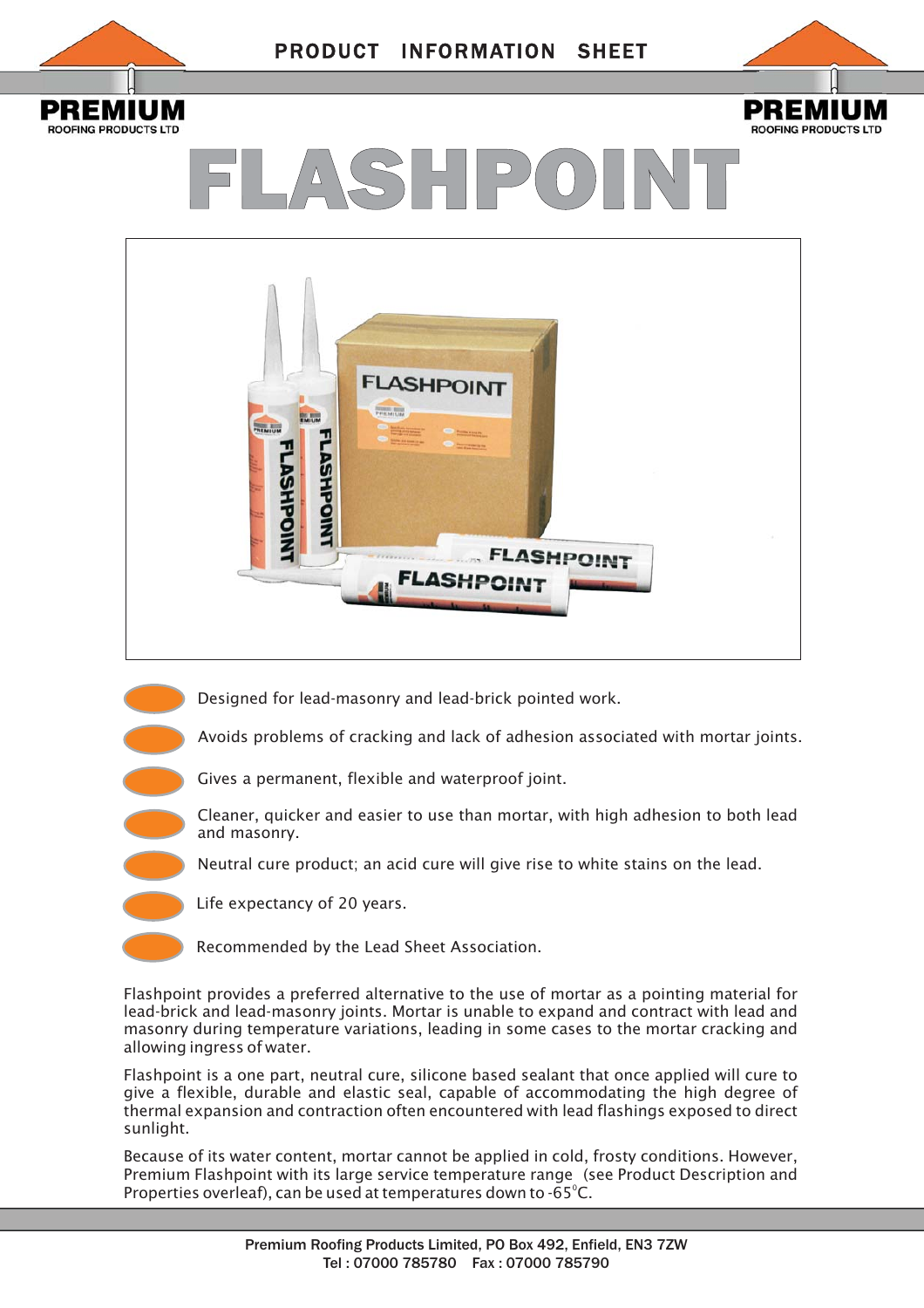



# FLASHPOINT



Designed for lead-masonry and lead-brick pointed work.

Avoids problems of cracking and lack of adhesion associated with mortar joints.

- Gives a permanent, flexible and waterproof joint.
- Cleaner, quicker and easier to use than mortar, with high adhesion to both lead and masonry.

Neutral cure product; an acid cure will give rise to white stains on the lead.

Life expectancy of 20 years.

Recommended by the Lead Sheet Association.

Flashpoint provides a preferred alternative to the use of mortar as a pointing material for lead-brick and lead-masonry joints. Mortar is unable to expand and contract with lead and masonry during temperature variations, leading in some cases to the mortar cracking and allowing ingress of water.

Flashpoint is a one part, neutral cure, silicone based sealant that once applied will cure to give a flexible, durable and elastic seal, capable of accommodating the high degree of thermal expansion and contraction often encountered with lead flashings exposed to direct sunlight.

Because of its water content, mortar cannot be applied in cold, frosty conditions. However, Premium Flashpoint with its large service temperature range (see Product Description and Properties overleaf), can be used at temperatures down to  $-65^{\circ}$ C.